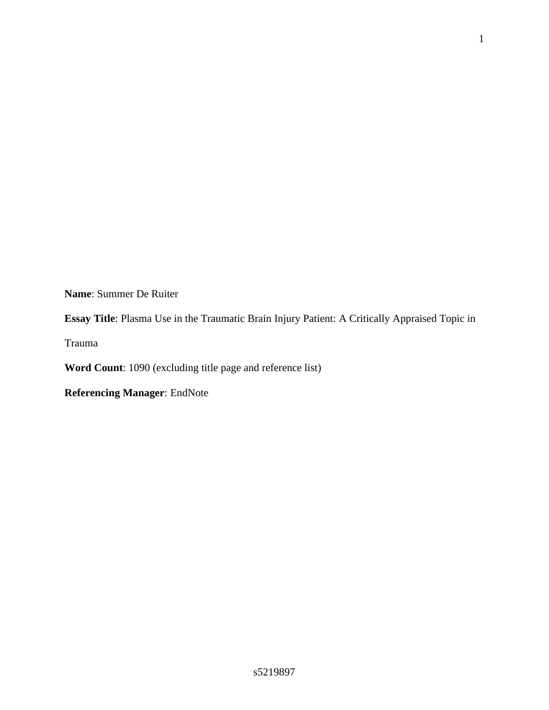**Name**: Summer De Ruiter

**Essay Title**: Plasma Use in the Traumatic Brain Injury Patient: A Critically Appraised Topic in

Trauma

**Word Count**: 1090 (excluding title page and reference list)

**Referencing Manager**: EndNote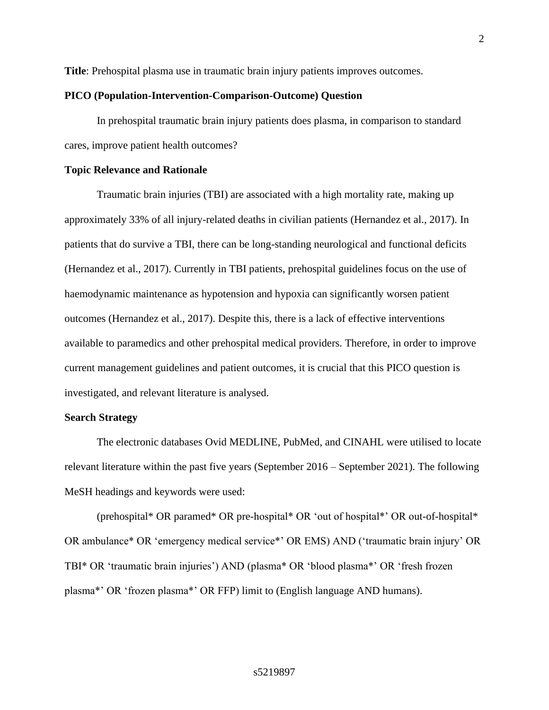**Title**: Prehospital plasma use in traumatic brain injury patients improves outcomes.

### **PICO (Population-Intervention-Comparison-Outcome) Question**

In prehospital traumatic brain injury patients does plasma, in comparison to standard cares, improve patient health outcomes?

#### **Topic Relevance and Rationale**

Traumatic brain injuries (TBI) are associated with a high mortality rate, making up approximately 33% of all injury-related deaths in civilian patients (Hernandez et al., 2017). In patients that do survive a TBI, there can be long-standing neurological and functional deficits (Hernandez et al., 2017). Currently in TBI patients, prehospital guidelines focus on the use of haemodynamic maintenance as hypotension and hypoxia can significantly worsen patient outcomes (Hernandez et al., 2017). Despite this, there is a lack of effective interventions available to paramedics and other prehospital medical providers. Therefore, in order to improve current management guidelines and patient outcomes, it is crucial that this PICO question is investigated, and relevant literature is analysed.

#### **Search Strategy**

The electronic databases Ovid MEDLINE, PubMed, and CINAHL were utilised to locate relevant literature within the past five years (September 2016 – September 2021). The following MeSH headings and keywords were used:

(prehospital\* OR paramed\* OR pre-hospital\* OR 'out of hospital\*' OR out-of-hospital\* OR ambulance\* OR 'emergency medical service\*' OR EMS) AND ('traumatic brain injury' OR TBI\* OR 'traumatic brain injuries') AND (plasma\* OR 'blood plasma\*' OR 'fresh frozen plasma\*' OR 'frozen plasma\*' OR FFP) limit to (English language AND humans).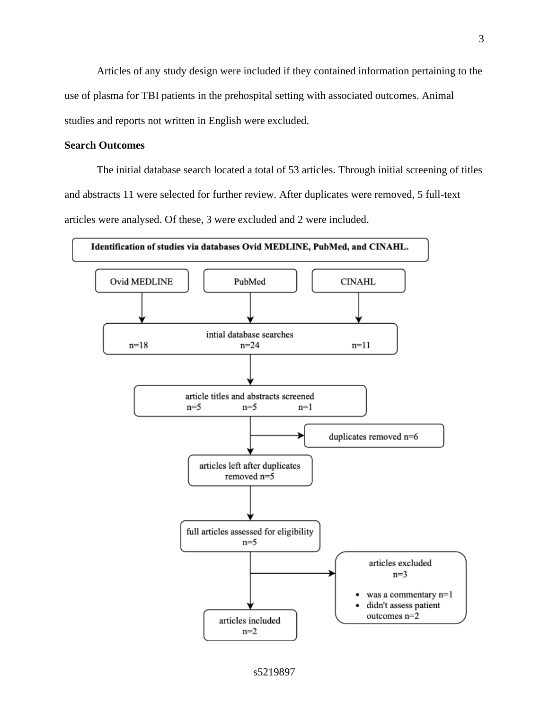Articles of any study design were included if they contained information pertaining to the use of plasma for TBI patients in the prehospital setting with associated outcomes. Animal studies and reports not written in English were excluded.

### **Search Outcomes**

The initial database search located a total of 53 articles. Through initial screening of titles and abstracts 11 were selected for further review. After duplicates were removed, 5 full-text articles were analysed. Of these, 3 were excluded and 2 were included.

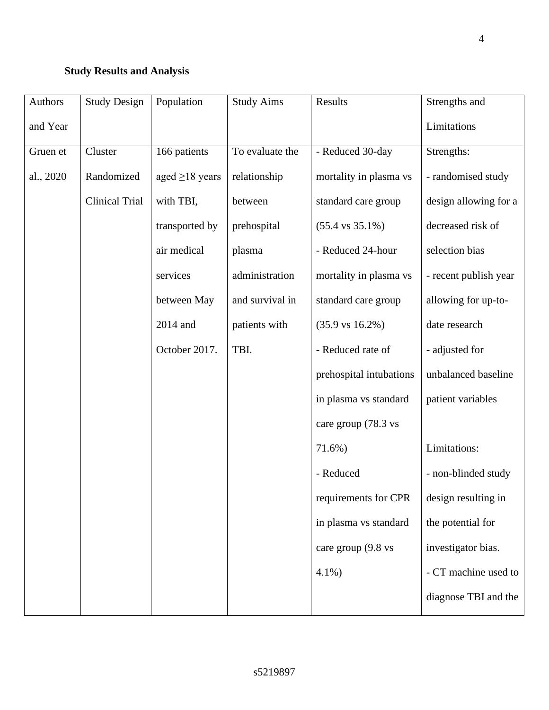# **Study Results and Analysis**

| Authors   | <b>Study Design</b>   | Population           | <b>Study Aims</b> | Results                     | Strengths and         |
|-----------|-----------------------|----------------------|-------------------|-----------------------------|-----------------------|
| and Year  |                       |                      |                   |                             | Limitations           |
| Gruen et  | Cluster               | 166 patients         | To evaluate the   | - Reduced 30-day            | Strengths:            |
| al., 2020 | Randomized            | aged $\geq$ 18 years | relationship      | mortality in plasma vs      | - randomised study    |
|           | <b>Clinical Trial</b> | with TBI,            | between           | standard care group         | design allowing for a |
|           |                       | transported by       | prehospital       | $(55.4 \text{ vs } 35.1\%)$ | decreased risk of     |
|           |                       | air medical          | plasma            | - Reduced 24-hour           | selection bias        |
|           |                       | services             | administration    | mortality in plasma vs      | - recent publish year |
|           |                       | between May          | and survival in   | standard care group         | allowing for up-to-   |
|           |                       | 2014 and             | patients with     | $(35.9 \text{ vs } 16.2\%)$ | date research         |
|           |                       | October 2017.        | TBI.              | - Reduced rate of           | - adjusted for        |
|           |                       |                      |                   | prehospital intubations     | unbalanced baseline   |
|           |                       |                      |                   | in plasma vs standard       | patient variables     |
|           |                       |                      |                   | care group (78.3 vs         |                       |
|           |                       |                      |                   | 71.6%)                      | Limitations:          |
|           |                       |                      |                   | - Reduced                   | - non-blinded study   |
|           |                       |                      |                   | requirements for CPR        | design resulting in   |
|           |                       |                      |                   | in plasma vs standard       | the potential for     |
|           |                       |                      |                   | care group (9.8 vs          | investigator bias.    |
|           |                       |                      |                   | $4.1\%$ )                   | - CT machine used to  |
|           |                       |                      |                   |                             | diagnose TBI and the  |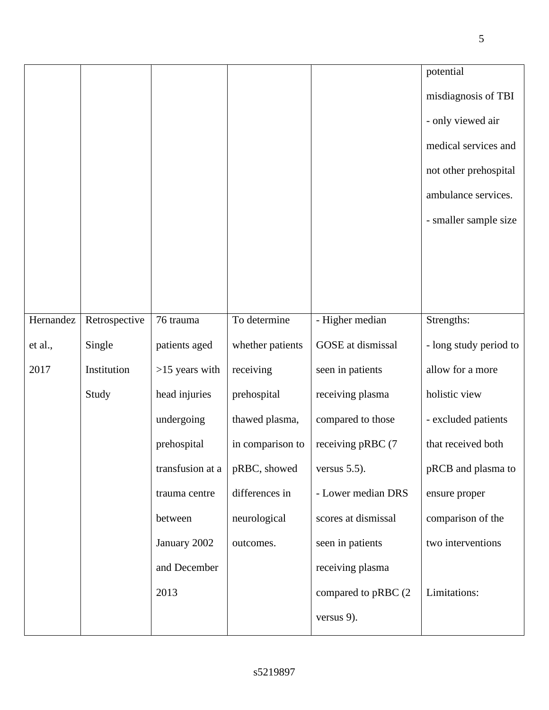|           |               |                  |                  |                      | potential              |
|-----------|---------------|------------------|------------------|----------------------|------------------------|
|           |               |                  |                  |                      | misdiagnosis of TBI    |
|           |               |                  |                  |                      | - only viewed air      |
|           |               |                  |                  |                      | medical services and   |
|           |               |                  |                  |                      | not other prehospital  |
|           |               |                  |                  |                      | ambulance services.    |
|           |               |                  |                  |                      | - smaller sample size  |
|           |               |                  |                  |                      |                        |
|           |               |                  |                  |                      |                        |
|           |               |                  |                  |                      |                        |
| Hernandez | Retrospective | 76 trauma        | To determine     | - Higher median      | Strengths:             |
| et al.,   | Single        | patients aged    | whether patients | GOSE at dismissal    | - long study period to |
| 2017      | Institution   | $>15$ years with | receiving        | seen in patients     | allow for a more       |
|           | Study         | head injuries    | prehospital      | receiving plasma     | holistic view          |
|           |               | undergoing       | thawed plasma,   | compared to those    | - excluded patients    |
|           |               | prehospital      | in comparison to | receiving pRBC (7    | that received both     |
|           |               | transfusion at a | pRBC, showed     | versus $5.5$ ).      | pRCB and plasma to     |
|           |               | trauma centre    | differences in   | - Lower median DRS   | ensure proper          |
|           |               | between          | neurological     | scores at dismissal  | comparison of the      |
|           |               | January 2002     | outcomes.        | seen in patients     | two interventions      |
|           |               | and December     |                  | receiving plasma     |                        |
|           |               | 2013             |                  | compared to pRBC (2) | Limitations:           |
|           |               |                  |                  | versus 9).           |                        |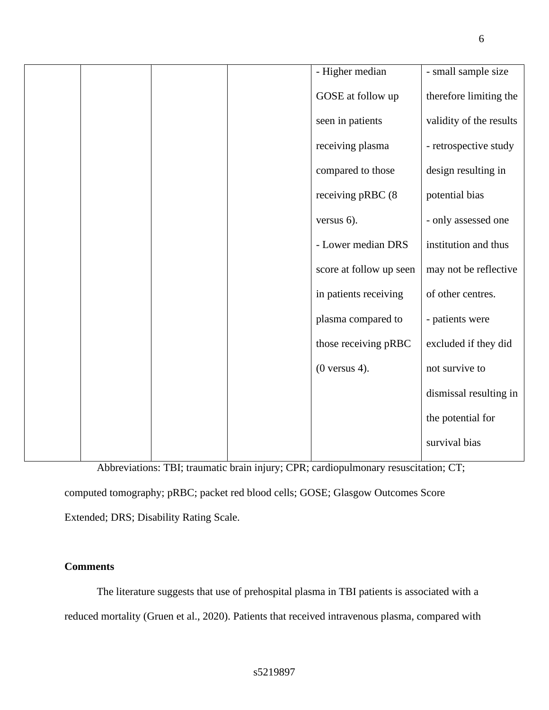|  |  | - Higher median         | - small sample size     |
|--|--|-------------------------|-------------------------|
|  |  |                         |                         |
|  |  | GOSE at follow up       | therefore limiting the  |
|  |  | seen in patients        | validity of the results |
|  |  | receiving plasma        | - retrospective study   |
|  |  | compared to those       | design resulting in     |
|  |  | receiving pRBC (8       | potential bias          |
|  |  | versus 6).              | - only assessed one     |
|  |  | - Lower median DRS      | institution and thus    |
|  |  | score at follow up seen | may not be reflective   |
|  |  | in patients receiving   | of other centres.       |
|  |  | plasma compared to      | - patients were         |
|  |  | those receiving pRBC    | excluded if they did    |
|  |  | $(0$ versus 4).         | not survive to          |
|  |  |                         | dismissal resulting in  |
|  |  |                         | the potential for       |
|  |  |                         | survival bias           |

Abbreviations: TBI; traumatic brain injury; CPR; cardiopulmonary resuscitation; CT;

computed tomography; pRBC; packet red blood cells; GOSE; Glasgow Outcomes Score

Extended; DRS; Disability Rating Scale.

## **Comments**

The literature suggests that use of prehospital plasma in TBI patients is associated with a reduced mortality (Gruen et al., 2020). Patients that received intravenous plasma, compared with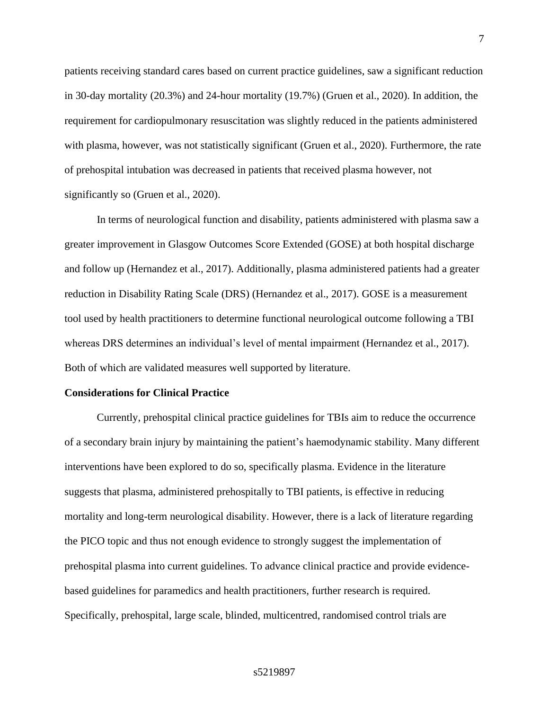patients receiving standard cares based on current practice guidelines, saw a significant reduction in 30-day mortality (20.3%) and 24-hour mortality (19.7%) (Gruen et al., 2020). In addition, the requirement for cardiopulmonary resuscitation was slightly reduced in the patients administered with plasma, however, was not statistically significant (Gruen et al., 2020). Furthermore, the rate of prehospital intubation was decreased in patients that received plasma however, not significantly so (Gruen et al., 2020).

In terms of neurological function and disability, patients administered with plasma saw a greater improvement in Glasgow Outcomes Score Extended (GOSE) at both hospital discharge and follow up (Hernandez et al., 2017). Additionally, plasma administered patients had a greater reduction in Disability Rating Scale (DRS) (Hernandez et al., 2017). GOSE is a measurement tool used by health practitioners to determine functional neurological outcome following a TBI whereas DRS determines an individual's level of mental impairment (Hernandez et al., 2017). Both of which are validated measures well supported by literature.

### **Considerations for Clinical Practice**

Currently, prehospital clinical practice guidelines for TBIs aim to reduce the occurrence of a secondary brain injury by maintaining the patient's haemodynamic stability. Many different interventions have been explored to do so, specifically plasma. Evidence in the literature suggests that plasma, administered prehospitally to TBI patients, is effective in reducing mortality and long-term neurological disability. However, there is a lack of literature regarding the PICO topic and thus not enough evidence to strongly suggest the implementation of prehospital plasma into current guidelines. To advance clinical practice and provide evidencebased guidelines for paramedics and health practitioners, further research is required. Specifically, prehospital, large scale, blinded, multicentred, randomised control trials are

### s5219897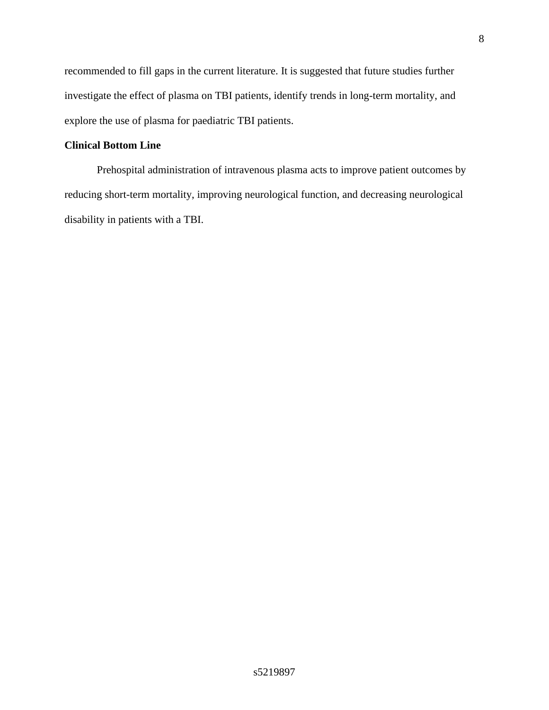recommended to fill gaps in the current literature. It is suggested that future studies further investigate the effect of plasma on TBI patients, identify trends in long-term mortality, and explore the use of plasma for paediatric TBI patients.

### **Clinical Bottom Line**

Prehospital administration of intravenous plasma acts to improve patient outcomes by reducing short-term mortality, improving neurological function, and decreasing neurological disability in patients with a TBI.